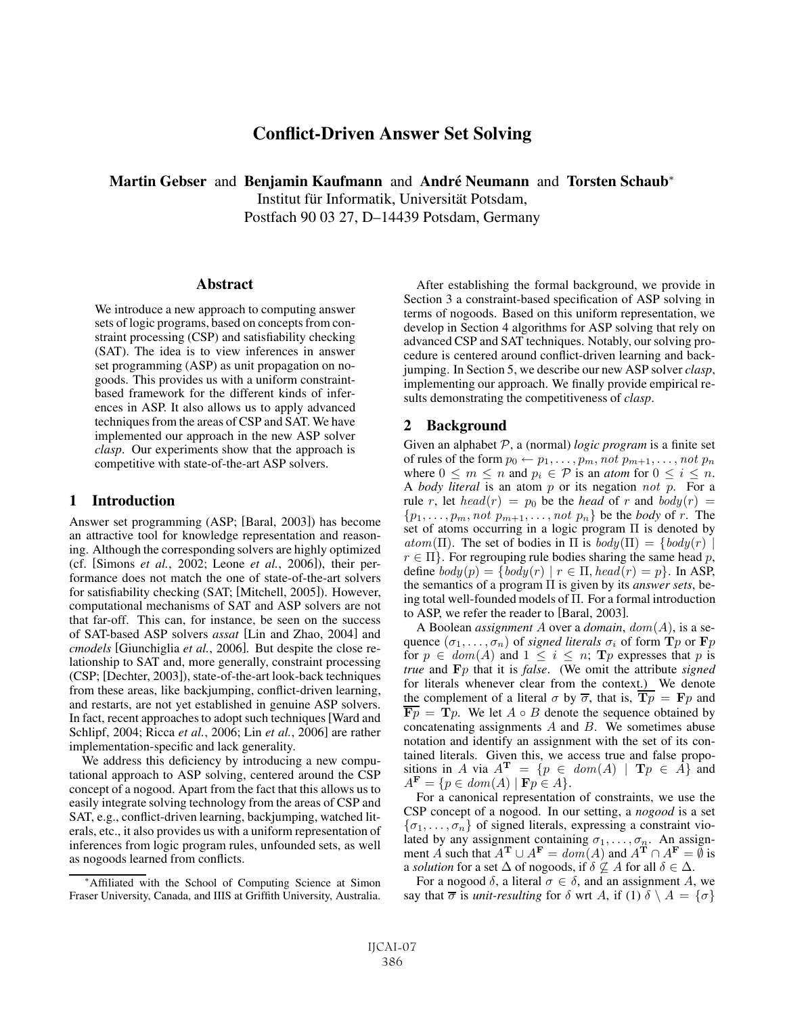# Conflict-Driven Answer Set Solving

Martin Gebser and Benjamin Kaufmann and André Neumann and Torsten Schaub<sup>∗</sup> Institut für Informatik, Universität Potsdam, Postfach 90 03 27, D–14439 Potsdam, Germany

Abstract

We introduce a new approach to computing answer sets of logic programs, based on concepts from constraint processing (CSP) and satisfiability checking (SAT). The idea is to view inferences in answer set programming (ASP) as unit propagation on nogoods. This provides us with a uniform constraintbased framework for the different kinds of inferences in ASP. It also allows us to apply advanced techniques from the areas of CSP and SAT. We have implemented our approach in the new ASP solver *clasp*. Our experiments show that the approach is competitive with state-of-the-art ASP solvers.

### 1 Introduction

Answer set programming (ASP; [Baral, 2003]) has become an attractive tool for knowledge representation and reasoning. Although the corresponding solvers are highly optimized (cf. [Simons *et al.*, 2002; Leone *et al.*, 2006]), their performance does not match the one of state-of-the-art solvers for satisfiability checking (SAT; [Mitchell, 2005]). However, computational mechanisms of SAT and ASP solvers are not that far-off. This can, for instance, be seen on the success of SAT-based ASP solvers *assat* [Lin and Zhao, 2004] and *cmodels* [Giunchiglia *et al.*, 2006]. But despite the close relationship to SAT and, more generally, constraint processing (CSP; [Dechter, 2003]), state-of-the-art look-back techniques from these areas, like backjumping, conflict-driven learning, and restarts, are not yet established in genuine ASP solvers. In fact, recent approaches to adopt such techniques[Ward and Schlipf, 2004; Ricca *et al.*, 2006; Lin *et al.*, 2006] are rather implementation-specific and lack generality.

We address this deficiency by introducing a new computational approach to ASP solving, centered around the CSP concept of a nogood. Apart from the fact that this allows us to easily integrate solving technology from the areas of CSP and SAT, e.g., conflict-driven learning, backjumping, watched literals, etc., it also provides us with a uniform representation of inferences from logic program rules, unfounded sets, as well as nogoods learned from conflicts.

After establishing the formal background, we provide in Section 3 a constraint-based specification of ASP solving in terms of nogoods. Based on this uniform representation, we develop in Section 4 algorithms for ASP solving that rely on advanced CSP and SAT techniques. Notably, our solving procedure is centered around conflict-driven learning and backjumping. In Section 5, we describe our new ASP solver *clasp*, implementing our approach. We finally provide empirical results demonstrating the competitiveness of *clasp*.

### 2 Background

Given an alphabet P, a (normal) *logic program* is a finite set of rules of the form  $p_0 \leftarrow p_1, \ldots, p_m$ , not  $p_{m+1}, \ldots, not$   $p_n$ where  $0 \leq m \leq n$  and  $p_i \in \mathcal{P}$  is an *atom* for  $0 \leq i \leq n$ . A *body literal* is an atom p or its negation not p. For a rule r, let  $head(r) = p_0$  be the *head* of r and  $body(r) =$  $\{p_1,\ldots,p_m, not\ p_{m+1},\ldots, not\ p_n\}$  be the *body* of r. The set of atoms occurring in a logic program Π is denoted by  $atom(\Pi)$ . The set of bodies in  $\Pi$  is  $body(\Pi) = \{body(r) \mid$  $r \in \Pi$ . For regrouping rule bodies sharing the same head p, define  $body(p) = \{body(r) | r \in \Pi, head(r) = p\}$ . In ASP, the semantics of a program Π is given by its *answer sets*, being total well-founded models of Π. For a formal introduction to ASP, we refer the reader to [Baral, 2003].

A Boolean *assignment* A over a *domain*, dom(A), is a sequence  $(\sigma_1, \ldots, \sigma_n)$  of *signed literals*  $\sigma_i$  of form **T***p* or **F***p* for  $p \in dom(A)$  and  $1 \leq i \leq n$ ; **T***p* expresses that *p* is *true* and **F**p that it is *false*. (We omit the attribute *signed* for literals whenever clear from the context.) We denote the complement of a literal  $\sigma$  by  $\overline{\sigma}$ , that is,  $\overline{\mathbf{T}p} = \mathbf{F}p$  and  $\overline{\mathbf{F}p}$  =  $\mathbf{T}p$ . We let  $A \circ B$  denote the sequence obtained by concatenating assignments  $A$  and  $B$ . We sometimes abuse notation and identify an assignment with the set of its contained literals. Given this, we access true and false propositions in A via  $A^T = \{p \in dom(A) | Tp \in \hat{A}\}\$ and  $A^{\mathbf{F}} = \{p \in dom(A) \mid \mathbf{F}p \in A\}.$ 

For a canonical representation of constraints, we use the CSP concept of a nogood. In our setting, a *nogood* is a set  $\{\sigma_1,\ldots,\sigma_n\}$  of signed literals, expressing a constraint violated by any assignment containing  $\sigma_1, \ldots, \sigma_n$ . An assignment A such that  $A^T \cup A^F = dom(A)$  and  $A^T \cap A^F = \emptyset$  is a *solution* for a set  $\Delta$  of nogoods, if  $\delta \nsubseteq A$  for all  $\delta \in \Delta$ .

For a nogood  $\delta$ , a literal  $\sigma \in \delta$ , and an assignment A, we say that  $\overline{\sigma}$  is *unit-resulting* for  $\delta$  wrt A, if (1)  $\delta \setminus A = \{\sigma\}$ 

<sup>∗</sup>Affiliated with the School of Computing Science at Simon Fraser University, Canada, and IIIS at Griffith University, Australia.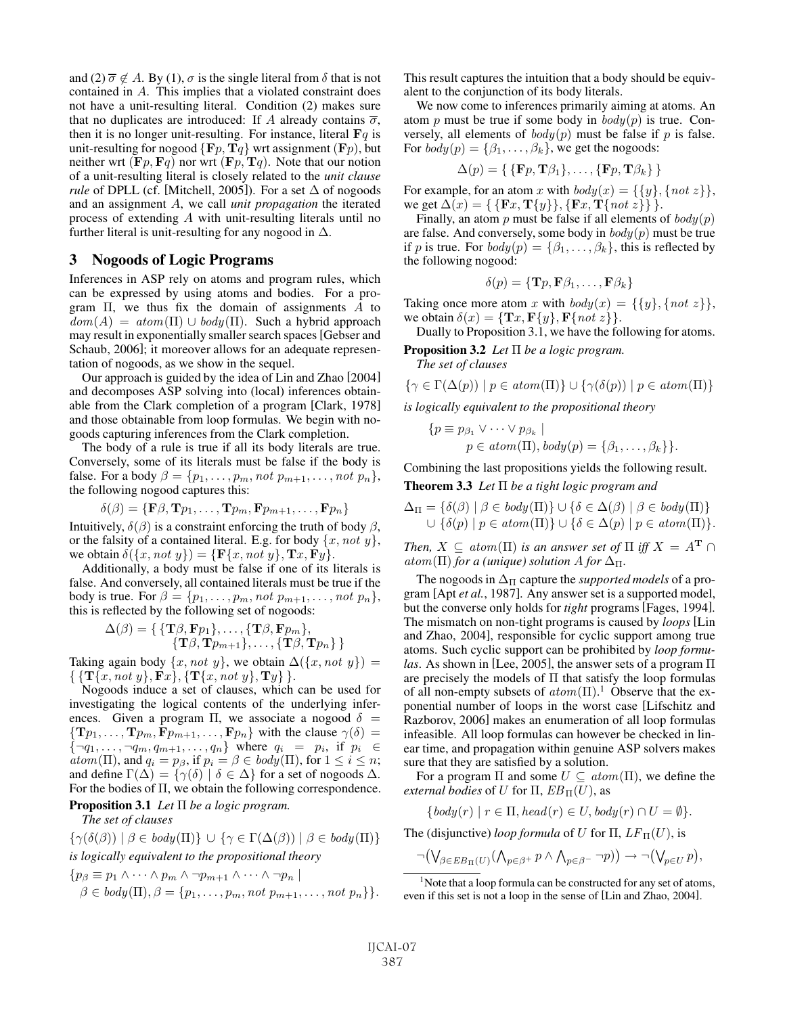and (2)  $\overline{\sigma} \notin A$ . By (1),  $\sigma$  is the single literal from  $\delta$  that is not contained in A. This implies that a violated constraint does not have a unit-resulting literal. Condition (2) makes sure that no duplicates are introduced: If A already contains  $\overline{\sigma}$ , then it is no longer unit-resulting. For instance, literal  $\mathbf{F}q$  is unit-resulting for nogood  $\{F_p, T_q\}$  wrt assignment  $(F_p)$ , but neither wrt  $(\mathbf{F}p, \mathbf{F}q)$  nor wrt  $(\mathbf{F}p, \mathbf{T}q)$ . Note that our notion of a unit-resulting literal is closely related to the *unit clause rule* of DPLL (cf. [Mitchell, 2005]). For a set  $\Delta$  of nogoods and an assignment A, we call *unit propagation* the iterated process of extending A with unit-resulting literals until no further literal is unit-resulting for any nogood in  $\Delta$ .

# 3 Nogoods of Logic Programs

Inferences in ASP rely on atoms and program rules, which can be expressed by using atoms and bodies. For a program  $\Pi$ , we thus fix the domain of assignments A to  $dom(A) = atom(\Pi) \cup body(\Pi)$ . Such a hybrid approach may result in exponentially smaller search spaces[Gebser and Schaub, 2006]; it moreover allows for an adequate representation of nogoods, as we show in the sequel.

Our approach is guided by the idea of Lin and Zhao [2004] and decomposes ASP solving into (local) inferences obtainable from the Clark completion of a program [Clark, 1978] and those obtainable from loop formulas. We begin with nogoods capturing inferences from the Clark completion.

The body of a rule is true if all its body literals are true. Conversely, some of its literals must be false if the body is false. For a body  $\beta = \{p_1, \ldots, p_m, not \ p_{m+1}, \ldots, not \ p_n\},\$ the following nogood captures this:

$$
\delta(\beta) = {\mathbf{F}}\beta, \mathbf{T}p_1, \dots, \mathbf{T}p_m, \mathbf{F}p_{m+1}, \dots, \mathbf{F}p_n
$$

Intuitively,  $\delta(\beta)$  is a constraint enforcing the truth of body  $\beta$ , or the falsity of a contained literal. E.g. for body  $\{x, not\ y\}$ , we obtain  $\delta({x, not y}) = {\mathbf{F}{x, not y}, \mathbf{Tx}, \mathbf{F}{y}}.$ 

Additionally, a body must be false if one of its literals is false. And conversely, all contained literals must be true if the body is true. For  $\beta = \{p_1, \ldots, p_m, not \ p_{m+1}, \ldots, not \ p_n\},\$ this is reflected by the following set of nogoods:

$$
\Delta(\beta) = \{ \{ \mathbf{T}\beta, \mathbf{F}p_1 \}, \dots, \{ \mathbf{T}\beta, \mathbf{F}p_m \}, \\ \{ \mathbf{T}\beta, \mathbf{T}p_{m+1} \}, \dots, \{ \mathbf{T}\beta, \mathbf{T}p_n \} \}
$$

Taking again body  $\{x, not y\}$ , we obtain  $\Delta(\{x, not y\}) =$  $\{\{\mathbf{T}\{x, not y\}, \mathbf{F}x\}, \{\mathbf{T}\{x, not y\}, \mathbf{T}y\}\}.$ 

Nogoods induce a set of clauses, which can be used for investigating the logical contents of the underlying inferences. Given a program Π, we associate a nogood  $\delta$  =  ${\bf T}p_1,\ldots,{\bf T}p_m,\bar{\bf F}p_{m+1},\ldots,{\bf F}p_n$  with the clause  $\gamma(\delta)$  $\{\neg q_1,\ldots,\neg q_m,q_{m+1},\ldots,q_n\}$  where  $q_i = p_i$ , if  $p_i \in$  $atom(\Pi)$ , and  $q_i = p_\beta$ , if  $p_i = \beta \in body(\Pi)$ , for  $1 \leq i \leq n$ ; and define  $\Gamma(\Delta) = {\gamma(\delta) | \delta \in \Delta}$  for a set of nogoods  $\Delta$ . For the bodies of Π, we obtain the following correspondence.

Proposition 3.1 *Let* Π *be a logic program.*

*The set of clauses*

 $\{\gamma(\delta(\beta)) \mid \beta \in \mathit{body}(\Pi)\}\cup \{\gamma \in \Gamma(\Delta(\beta)) \mid \beta \in \mathit{body}(\Pi)\}\$ *is logically equivalent to the propositional theory*

$$
\{p_{\beta} \equiv p_1 \land \cdots \land p_m \land \neg p_{m+1} \land \cdots \land \neg p_n \mid
$$
  

$$
\beta \in body(\Pi), \beta = \{p_1, \ldots, p_m, not \ p_{m+1}, \ldots, not \ p_n\} \}.
$$

This result captures the intuition that a body should be equivalent to the conjunction of its body literals.

We now come to inferences primarily aiming at atoms. An atom p must be true if some body in  $body(p)$  is true. Conversely, all elements of  $body(p)$  must be false if p is false. For  $body(p) = {\beta_1, \ldots, \beta_k}$ , we get the nogoods:

$$
\Delta(p) = \{ \{ \mathbf{F}p, \mathbf{T}\beta_1 \}, \dots, \{ \mathbf{F}p, \mathbf{T}\beta_k \} \}
$$

For example, for an atom x with  $body(x) = \{\{y\}, \{not\} \}$ , we get  $\Delta(x) = {\{\{\mathbf{F}x, \mathbf{T}\{y\}\}, \{\mathbf{F}x, \mathbf{T}\{not\}\}\}.$ 

Finally, an atom p must be false if all elements of  $body(p)$ are false. And conversely, some body in  $body(p)$  must be true if p is true. For  $body(p) = \{\beta_1, \ldots, \beta_k\}$ , this is reflected by the following nogood:

$$
\delta(p) = \{ \mathbf{T}p, \mathbf{F}\beta_1, \dots, \mathbf{F}\beta_k \}
$$

Taking once more atom x with  $body(x) = \{\{y\}, \{not\} \}$ , we obtain  $\delta(x) = {\mathbf{T}x, \mathbf{F}\{y\}, \mathbf{F}\{not\;z\}}$ .

Dually to Proposition 3.1, we have the following for atoms.

Proposition 3.2 *Let* Π *be a logic program. The set of clauses*

$$
\{\gamma \in \Gamma(\Delta(p)) \mid p \in atom(\Pi)\} \cup \{\gamma(\delta(p)) \mid p \in atom(\Pi)\}\
$$

*is logically equivalent to the propositional theory*

{
$$
p \equiv p_{\beta_1} \vee \cdots \vee p_{\beta_k}
$$
 |  
 $p \in atom(\Pi), body(p) = {\beta_1, ..., \beta_k}$  }.

Combining the last propositions yields the following result.

Theorem 3.3 *Let* Π *be a tight logic program and*

$$
\Delta_{\Pi} = \{ \delta(\beta) \mid \beta \in body(\Pi) \} \cup \{ \delta \in \Delta(\beta) \mid \beta \in body(\Pi) \} \cup \{ \delta(p) \mid p \in atom(\Pi) \} \cup \{ \delta \in \Delta(p) \mid p \in atom(\Pi) \}.
$$

*Then,*  $X \subseteq atom(\Pi)$  *is an answer set of*  $\Pi$  *iff*  $X = A^T \cap$  $atom(\Pi)$  *for a (unique) solution A for*  $\Delta_{\Pi}$ *.* 

The nogoods in  $\Delta_{\Pi}$  capture the *supported models* of a program [Apt *et al.*, 1987]. Any answer set is a supported model, but the converse only holds for *tight* programs [Fages, 1994]. The mismatch on non-tight programs is caused by *loops* [Lin and Zhao, 2004], responsible for cyclic support among true atoms. Such cyclic support can be prohibited by *loop formulas*. As shown in [Lee, 2005], the answer sets of a program Π are precisely the models of  $\Pi$  that satisfy the loop formulas of all non-empty subsets of  $atom(\Pi)$ .<sup>1</sup> Observe that the exponential number of loops in the worst case [Lifschitz and Razborov, 2006] makes an enumeration of all loop formulas infeasible. All loop formulas can however be checked in linear time, and propagation within genuine ASP solvers makes sure that they are satisfied by a solution.

For a program  $\Pi$  and some  $U \subseteq atom(\Pi)$ , we define the *external bodies* of U for  $\Pi$ ,  $EB_{\Pi}(U)$ , as

$$
\{body(r) \mid r \in \Pi, head(r) \in U, body(r) \cap U = \emptyset\}.
$$

The (disjunctive) *loop formula* of U for  $\Pi$ ,  $LF_{\Pi}(U)$ , is

$$
\neg(\bigvee_{\beta\in EB_\Pi(U)}(\bigwedge_{p\in\beta^+}p\wedge\bigwedge_{p\in\beta^-}\neg p))\rightarrow\neg(\bigvee_{p\in U}p),
$$

<sup>&</sup>lt;sup>1</sup>Note that a loop formula can be constructed for any set of atoms, even if this set is not a loop in the sense of [Lin and Zhao, 2004].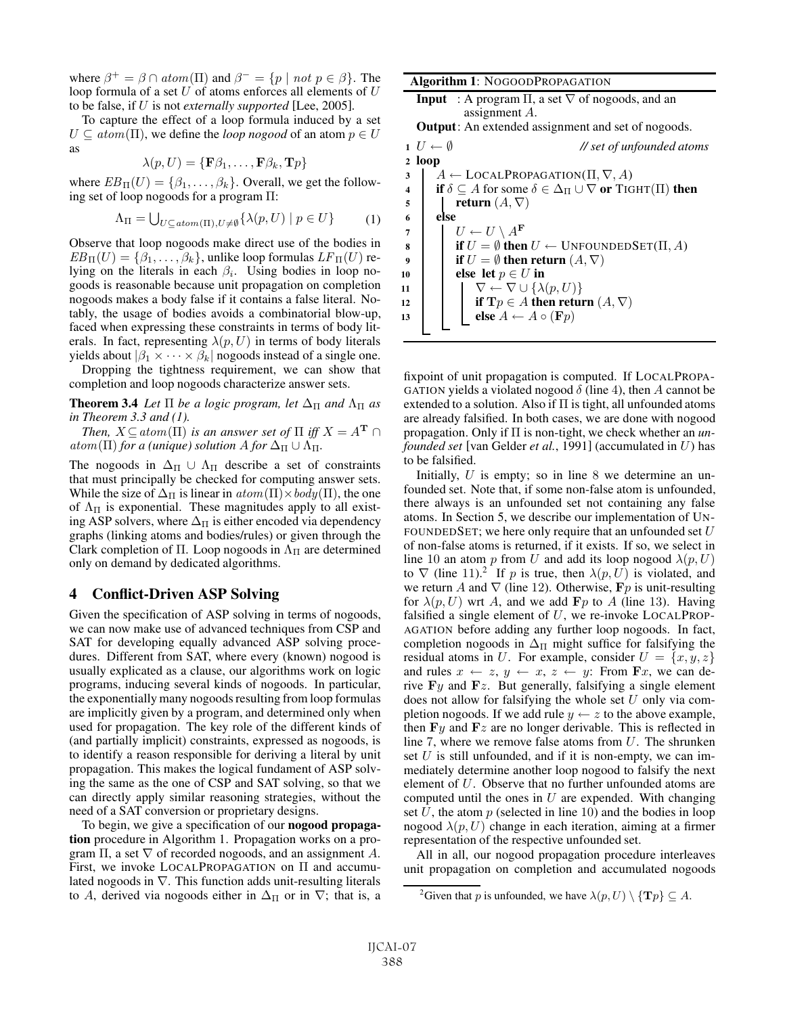where  $\beta^+ = \beta \cap atom(\Pi)$  and  $\beta^- = \{p \mid not \ p \in \beta\}$ . The loop formula of a set  $U$  of atoms enforces all elements of  $U$ to be false, if U is not *externally supported* [Lee, 2005].

To capture the effect of a loop formula induced by a set  $U \subseteq atom(\Pi)$ , we define the *loop nogood* of an atom  $p \in U$ as

$$
\lambda(p, U) = \{ \mathbf{F} \beta_1, \dots, \mathbf{F} \beta_k, \mathbf{T} p \}
$$

where  $EB_\Pi(U) = \{\beta_1, \dots, \beta_k\}$ . Overall, we get the following set of loop nogoods for a program Π:

$$
\Lambda_{\Pi} = \bigcup_{U \subseteq atom(\Pi), U \neq \emptyset} \{ \lambda(p, U) \mid p \in U \}
$$
 (1)

Observe that loop nogoods make direct use of the bodies in  $EB_\Pi(U) = \{\beta_1, \dots, \beta_k\}$ , unlike loop formulas  $LF_\Pi(U)$  relying on the literals in each  $\beta_i$ . Using bodies in loop nogoods is reasonable because unit propagation on completion nogoods makes a body false if it contains a false literal. Notably, the usage of bodies avoids a combinatorial blow-up, faced when expressing these constraints in terms of body literals. In fact, representing  $\lambda(p, U)$  in terms of body literals yields about  $|\beta_1 \times \cdots \times \beta_k|$  nogoods instead of a single one.

Dropping the tightness requirement, we can show that completion and loop nogoods characterize answer sets.

**Theorem 3.4** *Let*  $\Pi$  *be a logic program, let*  $\Delta_{\Pi}$  *and*  $\Lambda_{\Pi}$  *as in Theorem 3.3 and (1).*

*Then,*  $X \subseteq atom(\Pi)$  *is an answer set of*  $\Pi$  *iff*  $X = A^T \cap \Pi$  $atom(\Pi)$  *for a (unique) solution* A *for*  $\Delta_{\Pi} \cup \Lambda_{\Pi}$ .

The nogoods in  $\Delta$ Π ∪  $\Lambda$ Π describe a set of constraints that must principally be checked for computing answer sets. While the size of  $\Delta_{\Pi}$  is linear in  $atom(\Pi) \times body(\Pi)$ , the one of  $\Lambda_{\Pi}$  is exponential. These magnitudes apply to all existing ASP solvers, where  $\Delta_{\Pi}$  is either encoded via dependency graphs (linking atoms and bodies/rules) or given through the Clark completion of Π. Loop nogoods in  $\Lambda_{\Pi}$  are determined only on demand by dedicated algorithms.

### 4 Conflict-Driven ASP Solving

Given the specification of ASP solving in terms of nogoods, we can now make use of advanced techniques from CSP and SAT for developing equally advanced ASP solving procedures. Different from SAT, where every (known) nogood is usually explicated as a clause, our algorithms work on logic programs, inducing several kinds of nogoods. In particular, the exponentially many nogoods resulting from loop formulas are implicitly given by a program, and determined only when used for propagation. The key role of the different kinds of (and partially implicit) constraints, expressed as nogoods, is to identify a reason responsible for deriving a literal by unit propagation. This makes the logical fundament of ASP solving the same as the one of CSP and SAT solving, so that we can directly apply similar reasoning strategies, without the need of a SAT conversion or proprietary designs.

To begin, we give a specification of our **nogood propaga**tion procedure in Algorithm 1. Propagation works on a program  $\Pi$ , a set  $\nabla$  of recorded nogoods, and an assignment A. First, we invoke LOCALPROPAGATION on Π and accumulated nogoods in ∇. This function adds unit-resulting literals to A, derived via nogoods either in  $\Delta_{\Pi}$  or in  $\nabla$ ; that is, a Algorithm 1: NOGOODPROPAGATION

**Input** : A program 
$$
\Pi
$$
, a set  $\nabla$  of nogoods, and an assignment *A*.  
**Output:** An extended assignment and set of no  
goods

**Output**: An extended assignment and set of nogoods.

<sup>1</sup> U ← ∅ *// set of unfounded atoms* <sup>2</sup> loop  $3 \mid A \leftarrow \text{LOCALPROPAGATION}(\Pi, \nabla, A)$ 4 if  $\delta \subseteq A$  for some  $\delta \in \Delta_{\Pi} \cup \nabla$  or TIGHT(II) then 5 | return  $(A, \nabla)$ <sup>6</sup> else 7  $U \leftarrow U \setminus A^{\mathbf{F}}$ 8 if  $U = \emptyset$  then  $U \leftarrow$  UNFOUNDEDSET( $\Pi, A$ ) 9 if  $U = \emptyset$  then return  $(A, \nabla)$ 10 else let  $p \in U$  in 11  $\vert \vert \vert \nabla \leftarrow \nabla \cup \{ \lambda(p, U) \}$ 12 **if**  $\mathbf{T}p \in A$  then return  $(A, \nabla)$ 13 **else**  $A \leftarrow A \circ (\mathbf{F}p)$ 

fixpoint of unit propagation is computed. If LOCALPROPA-GATION yields a violated nogood  $\delta$  (line 4), then A cannot be extended to a solution. Also if  $\Pi$  is tight, all unfounded atoms are already falsified. In both cases, we are done with nogood propagation. Only if Π is non-tight, we check whether an *unfounded set* [van Gelder *et al.*, 1991] (accumulated in U) has to be falsified.

Initially,  $U$  is empty; so in line 8 we determine an unfounded set. Note that, if some non-false atom is unfounded, there always is an unfounded set not containing any false atoms. In Section 5, we describe our implementation of UN-FOUNDEDSET; we here only require that an unfounded set  $U$ of non-false atoms is returned, if it exists. If so, we select in line 10 an atom p from U and add its loop nogood  $\lambda(p, U)$ to  $\nabla$  (line 11).<sup>2</sup> If p is true, then  $\lambda(p, U)$  is violated, and we return A and  $\nabla$  (line 12). Otherwise, **F**<sub>p</sub> is unit-resulting for  $\lambda(p, U)$  wrt A, and we add **F**p to A (line 13). Having falsified a single element of  $U$ , we re-invoke LOCALPROP-AGATION before adding any further loop nogoods. In fact, completion nogoods in  $\Delta_{\Pi}$  might suffice for falsifying the residual atoms in U. For example, consider  $U = \{x, y, z\}$ and rules  $x \leftarrow z$ ,  $y \leftarrow x$ ,  $z \leftarrow y$ : From **F**x, we can derive **F**y and **F**z. But generally, falsifying a single element does not allow for falsifying the whole set  $U$  only via completion nogoods. If we add rule  $y \leftarrow z$  to the above example, then  $\mathbf{F}y$  and  $\mathbf{F}z$  are no longer derivable. This is reflected in line 7, where we remove false atoms from  $U$ . The shrunken set  $U$  is still unfounded, and if it is non-empty, we can immediately determine another loop nogood to falsify the next element of U. Observe that no further unfounded atoms are computed until the ones in  $U$  are expended. With changing set  $U$ , the atom  $p$  (selected in line 10) and the bodies in loop nogood  $\lambda(p, U)$  change in each iteration, aiming at a firmer representation of the respective unfounded set.

All in all, our nogood propagation procedure interleaves unit propagation on completion and accumulated nogoods

<sup>&</sup>lt;sup>2</sup>Given that p is unfounded, we have  $\lambda(p, U) \setminus {\bf T}p$   $\subseteq A$ .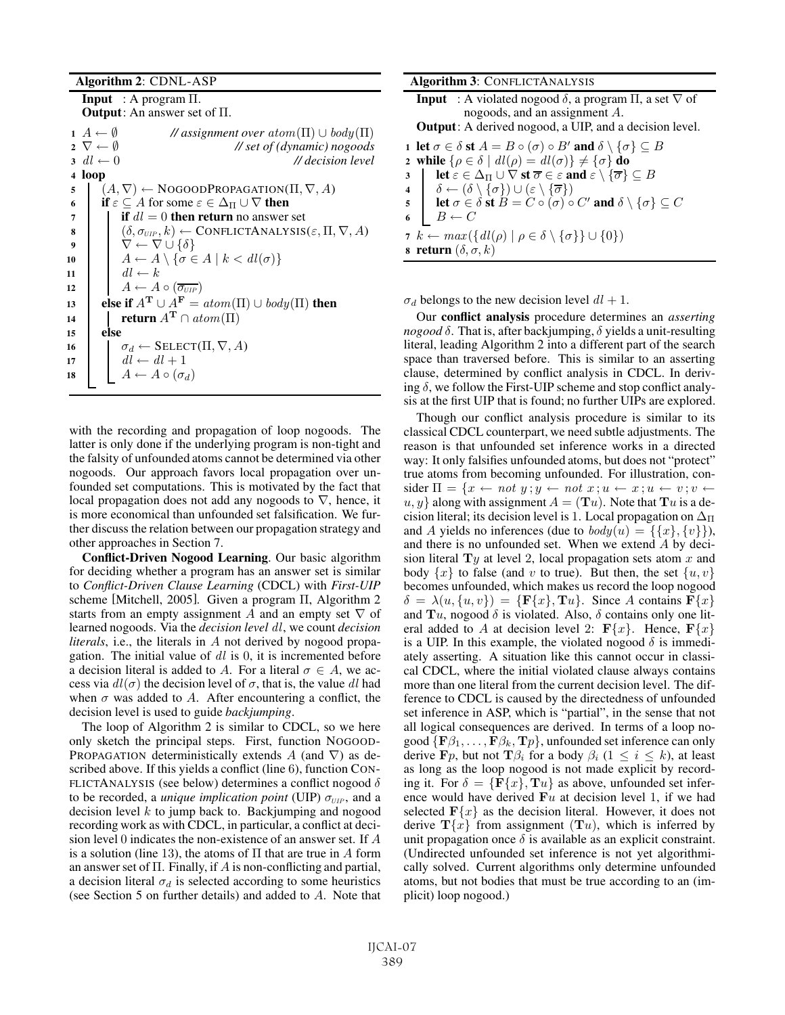#### Algorithm 2: CDNL-ASP

Input : A program Π. Output: An answer set of Π.

 $A \leftarrow \emptyset$  // assignment over atom(Π)  $\cup$  body(Π)<br>2  $\nabla \leftarrow \emptyset$  // set of (dynamic) nogoods  $\nabla \leftarrow \emptyset$  // set of (dynamic) nogoods<br>3  $dl \leftarrow 0$  // decision level dl ← 0 *// decision level* <sup>4</sup> loop  $\mathfrak{s} \mid (A, \nabla) \leftarrow \text{NoGOODPROPAGATION}(\Pi, \nabla, A)$ 6 if  $\varepsilon \subseteq A$  for some  $\varepsilon \in \Delta_{\Pi} \cup \nabla$  then 7 if  $dl = 0$  then return no answer set  $( \delta, \sigma_{\text{UIP}}, k) \leftarrow \text{CONFLICTANALYSIS}(\varepsilon, \Pi, \nabla, A)$  $\overline{\nabla} \leftarrow \nabla \cup {\delta}$  $A \leftarrow A \setminus \{ \sigma \in A \mid k < dl(\sigma) \}$  $dl \leftarrow k$  $A \leftarrow A \circ (\overline{\sigma_{\text{UIP}}})$ **else if**  $A^T \cup A^F = atom(\Pi) \cup body(\Pi)$  then **return**  $A^T \cap atom(\Pi)$ <sup>15</sup> else  $\sigma_d \leftarrow \text{SELECT}(\Pi, \nabla, A)$  $dl \leftarrow dl + 1$  $A \leftarrow A \circ (\sigma_d)$ 

with the recording and propagation of loop nogoods. The latter is only done if the underlying program is non-tight and the falsity of unfounded atoms cannot be determined via other nogoods. Our approach favors local propagation over unfounded set computations. This is motivated by the fact that local propagation does not add any nogoods to ∇, hence, it is more economical than unfounded set falsification. We further discuss the relation between our propagation strategy and other approaches in Section 7.

Conflict-Driven Nogood Learning. Our basic algorithm for deciding whether a program has an answer set is similar to *Conflict-Driven Clause Learning* (CDCL) with *First-UIP* scheme [Mitchell, 2005]. Given a program Π, Algorithm 2 starts from an empty assignment A and an empty set  $\nabla$  of learned nogoods. Via the *decision level* dl, we count *decision literals*, i.e., the literals in A not derived by nogood propagation. The initial value of  $dl$  is 0, it is incremented before a decision literal is added to A. For a literal  $\sigma \in A$ , we access via  $dl(\sigma)$  the decision level of  $\sigma$ , that is, the value dl had when  $\sigma$  was added to A. After encountering a conflict, the decision level is used to guide *backjumping*.

The loop of Algorithm 2 is similar to CDCL, so we here only sketch the principal steps. First, function NOGOOD-PROPAGATION deterministically extends A (and  $\nabla$ ) as described above. If this yields a conflict (line 6), function CON-FLICTANALYSIS (see below) determines a conflict nogood  $\delta$ to be recorded, a *unique implication point* (UIP)  $\sigma_{UIP}$ , and a decision level  $k$  to jump back to. Backjumping and nogood recording work as with CDCL, in particular, a conflict at decision level 0 indicates the non-existence of an answer set. If A is a solution (line 13), the atoms of  $\Pi$  that are true in A form an answer set of  $\Pi$ . Finally, if A is non-conflicting and partial, a decision literal  $\sigma_d$  is selected according to some heuristics (see Section 5 on further details) and added to A. Note that

| <b>Algorithm 3: CONFLICTANALYSIS</b>                                                                                                                   |
|--------------------------------------------------------------------------------------------------------------------------------------------------------|
| <b>Input</b> : A violated nogood $\delta$ , a program $\Pi$ , a set $\nabla$ of                                                                        |
| nogoods, and an assignment A.                                                                                                                          |
| <b>Output:</b> A derived nogood, a UIP, and a decision level.                                                                                          |
| 1 let $\sigma \in \delta$ st $A = B \circ (\sigma) \circ B'$ and $\delta \setminus {\sigma} \subseteq B$                                               |
| 2 while $\{\rho \in \delta \mid dl(\rho) = dl(\sigma)\}\neq \{\sigma\}$ do                                                                             |
| let $\varepsilon \in \Delta_{\Pi} \cup \nabla$ st $\overline{\sigma} \in \varepsilon$ and $\varepsilon \setminus {\overline{\sigma}} \subseteq B$<br>3 |
| 4 $\delta \leftarrow (\delta \setminus \{\sigma\}) \cup (\varepsilon \setminus \{\overline{\sigma}\})$                                                 |
| 5 let $\sigma \in \delta$ st $B = C \circ (\sigma) \circ C'$ and $\delta \setminus {\sigma} \subseteq C$                                               |
| $B \leftarrow C$                                                                                                                                       |
| 7 $k \leftarrow max(\{ dl(\rho)   \rho \in \delta \setminus \{\sigma\} \} \cup \{0\})$                                                                 |
| s return $(\delta, \sigma, k)$                                                                                                                         |

 $\sigma_d$  belongs to the new decision level  $dl + 1$ .

Our conflict analysis procedure determines an *asserting nogood*  $\delta$ . That is, after backjumping,  $\delta$  yields a unit-resulting literal, leading Algorithm 2 into a different part of the search space than traversed before. This is similar to an asserting clause, determined by conflict analysis in CDCL. In deriving  $\delta$ , we follow the First-UIP scheme and stop conflict analysis at the first UIP that is found; no further UIPs are explored.

Though our conflict analysis procedure is similar to its classical CDCL counterpart, we need subtle adjustments. The reason is that unfounded set inference works in a directed way: It only falsifies unfounded atoms, but does not "protect" true atoms from becoming unfounded. For illustration, consider  $\Pi = \{x \leftarrow not \ y; y \leftarrow not \ x; u \leftarrow x; u \leftarrow v; v \leftarrow v\}$  $u, y$  along with assignment  $A = (\mathbf{T}u)$ . Note that  $\mathbf{T}u$  is a decision literal; its decision level is 1. Local propagation on  $\Delta_{\Pi}$ and A yields no inferences (due to  $body(u) = \{\{x\}, \{v\}\}\)$ , and there is no unfounded set. When we extend A by decision literal  $T_y$  at level 2, local propagation sets atom x and body  $\{x\}$  to false (and v to true). But then, the set  $\{u, v\}$ becomes unfounded, which makes us record the loop nogood  $\delta = \lambda(u, \{u, v\}) = {\bf F}\{x\}, {\bf T}u\}.$  Since A contains  ${\bf F}\{x\}$ and  $Tu$ , nogood  $\delta$  is violated. Also,  $\delta$  contains only one literal added to A at decision level 2:  $\mathbf{F}\{x\}$ . Hence,  $\mathbf{F}\{x\}$ is a UIP. In this example, the violated nogood  $\delta$  is immediately asserting. A situation like this cannot occur in classical CDCL, where the initial violated clause always contains more than one literal from the current decision level. The difference to CDCL is caused by the directedness of unfounded set inference in ASP, which is "partial", in the sense that not all logical consequences are derived. In terms of a loop nogood  ${\bf F}\beta_1,\ldots,{\bf F}\beta_k,{\bf T}p$ , unfounded set inference can only derive **F**p, but not **T** $\beta_i$  for a body  $\beta_i$  (1  $\leq i \leq k$ ), at least as long as the loop nogood is not made explicit by recording it. For  $\delta = {\mathbf{F}}{x}$ ,  $\mathbf{T}u$  as above, unfounded set inference would have derived **F**u at decision level 1, if we had selected  $\mathbf{F}\{x\}$  as the decision literal. However, it does not derive  $\mathbf{T}\{x\}$  from assignment  $(\mathbf{T}u)$ , which is inferred by unit propagation once  $\delta$  is available as an explicit constraint. (Undirected unfounded set inference is not yet algorithmically solved. Current algorithms only determine unfounded atoms, but not bodies that must be true according to an (implicit) loop nogood.)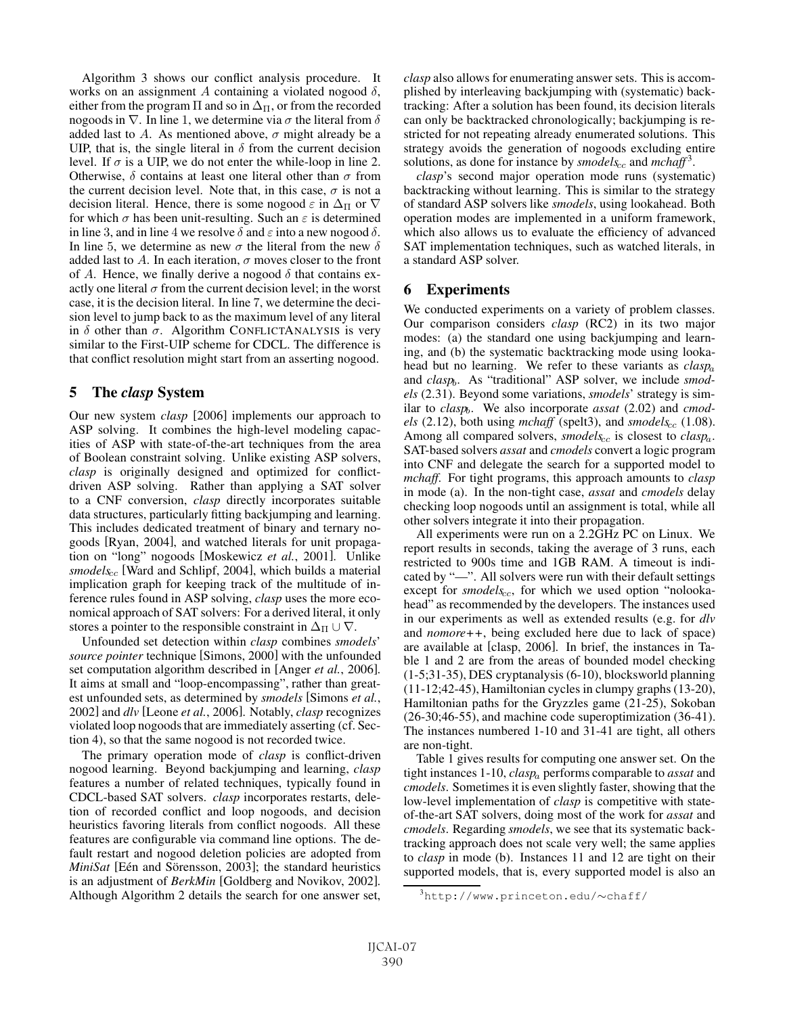Algorithm 3 shows our conflict analysis procedure. It works on an assignment A containing a violated nogood  $\delta$ , either from the program  $\Pi$  and so in  $\Delta_{\Pi}$ , or from the recorded nogoods in  $\nabla$ . In line 1, we determine via  $\sigma$  the literal from  $\delta$ added last to A. As mentioned above,  $\sigma$  might already be a UIP, that is, the single literal in  $\delta$  from the current decision level. If  $\sigma$  is a UIP, we do not enter the while-loop in line 2. Otherwise,  $\delta$  contains at least one literal other than  $\sigma$  from the current decision level. Note that, in this case,  $\sigma$  is not a decision literal. Hence, there is some nogood  $\varepsilon$  in  $\Delta_{\Pi}$  or  $\nabla$ for which  $\sigma$  has been unit-resulting. Such an  $\varepsilon$  is determined in line 3, and in line 4 we resolve  $\delta$  and  $\varepsilon$  into a new nogood  $\delta$ . In line 5, we determine as new  $\sigma$  the literal from the new  $\delta$ added last to A. In each iteration,  $\sigma$  moves closer to the front of A. Hence, we finally derive a nogood  $\delta$  that contains exactly one literal  $\sigma$  from the current decision level; in the worst case, it is the decision literal. In line 7, we determine the decision level to jump back to as the maximum level of any literal in  $\delta$  other than  $\sigma$ . Algorithm CONFLICTANALYSIS is very similar to the First-UIP scheme for CDCL. The difference is that conflict resolution might start from an asserting nogood.

# 5 The *clasp* System

Our new system *clasp* [2006] implements our approach to ASP solving. It combines the high-level modeling capacities of ASP with state-of-the-art techniques from the area of Boolean constraint solving. Unlike existing ASP solvers, *clasp* is originally designed and optimized for conflictdriven ASP solving. Rather than applying a SAT solver to a CNF conversion, *clasp* directly incorporates suitable data structures, particularly fitting backjumping and learning. This includes dedicated treatment of binary and ternary nogoods [Ryan, 2004], and watched literals for unit propagation on "long" nogoods [Moskewicz *et al.*, 2001]. Unlike *smodels<sub>cc</sub>* [Ward and Schlipf, 2004], which builds a material implication graph for keeping track of the multitude of inference rules found in ASP solving, *clasp* uses the more economical approach of SAT solvers: For a derived literal, it only stores a pointer to the responsible constraint in  $\Delta_{\Pi} \cup \nabla$ .

Unfounded set detection within *clasp* combines *smodels*' *source pointer* technique [Simons, 2000] with the unfounded set computation algorithm described in [Anger *et al.*, 2006]. It aims at small and "loop-encompassing", rather than greatest unfounded sets, as determined by *smodels* [Simons *et al.*, 2002] and *dlv* [Leone *et al.*, 2006]. Notably, *clasp* recognizes violated loop nogoods that are immediately asserting (cf. Section 4), so that the same nogood is not recorded twice.

The primary operation mode of *clasp* is conflict-driven nogood learning. Beyond backjumping and learning, *clasp* features a number of related techniques, typically found in CDCL-based SAT solvers. *clasp* incorporates restarts, deletion of recorded conflict and loop nogoods, and decision heuristics favoring literals from conflict nogoods. All these features are configurable via command line options. The default restart and nogood deletion policies are adopted from *MiniSat* [Eén and Sörensson, 2003]; the standard heuristics is an adjustment of *BerkMin* [Goldberg and Novikov, 2002]. Although Algorithm 2 details the search for one answer set, *clasp* also allows for enumerating answer sets. This is accomplished by interleaving backjumping with (systematic) backtracking: After a solution has been found, its decision literals can only be backtracked chronologically; backjumping is restricted for not repeating already enumerated solutions. This strategy avoids the generation of nogoods excluding entire solutions, as done for instance by  $\mathit{smooth}S_{cc}$  and  $\mathit{mchaff}^3$ .

*clasp*'s second major operation mode runs (systematic) backtracking without learning. This is similar to the strategy of standard ASP solvers like *smodels*, using lookahead. Both operation modes are implemented in a uniform framework, which also allows us to evaluate the efficiency of advanced SAT implementation techniques, such as watched literals, in a standard ASP solver.

# 6 Experiments

We conducted experiments on a variety of problem classes. Our comparison considers *clasp* (RC2) in its two major modes: (a) the standard one using backjumping and learning, and (b) the systematic backtracking mode using lookahead but no learning. We refer to these variants as *clasp*<sup>a</sup> and *clasp<sub>b</sub>*. As "traditional" ASP solver, we include *smodels* (2.31). Beyond some variations, *smodels*' strategy is similar to *clasp<sub>b</sub>*. We also incorporate *assat* (2.02) and *cmodels* (2.12), both using *mchaff* (spelt3), and *smodels*<sub>cc</sub> (1.08). Among all compared solvers, *smodels<sub>cc</sub>* is closest to *clasp<sub>a</sub>*. SAT-based solvers *assat* and *cmodels* convert a logic program into CNF and delegate the search for a supported model to *mchaff*. For tight programs, this approach amounts to *clasp* in mode (a). In the non-tight case, *assat* and *cmodels* delay checking loop nogoods until an assignment is total, while all other solvers integrate it into their propagation.

All experiments were run on a 2.2GHz PC on Linux. We report results in seconds, taking the average of 3 runs, each restricted to 900s time and 1GB RAM. A timeout is indicated by "—". All solvers were run with their default settings except for *smodels<sub>cc</sub>*, for which we used option "nolookahead" as recommended by the developers. The instances used in our experiments as well as extended results (e.g. for *dlv* and *nomore++*, being excluded here due to lack of space) are available at [clasp, 2006]. In brief, the instances in Table 1 and 2 are from the areas of bounded model checking (1-5;31-35), DES cryptanalysis (6-10), blocksworld planning (11-12;42-45), Hamiltonian cycles in clumpy graphs (13-20), Hamiltonian paths for the Gryzzles game (21-25), Sokoban (26-30;46-55), and machine code superoptimization (36-41). The instances numbered 1-10 and 31-41 are tight, all others are non-tight.

Table 1 gives results for computing one answer set. On the tight instances 1-10, *clasp*<sup>a</sup> performs comparable to *assat* and *cmodels*. Sometimes it is even slightly faster, showing that the low-level implementation of *clasp* is competitive with stateof-the-art SAT solvers, doing most of the work for *assat* and *cmodels*. Regarding *smodels*, we see that its systematic backtracking approach does not scale very well; the same applies to *clasp* in mode (b). Instances 11 and 12 are tight on their supported models, that is, every supported model is also an

<sup>3</sup> http://www.princeton.edu/∼chaff/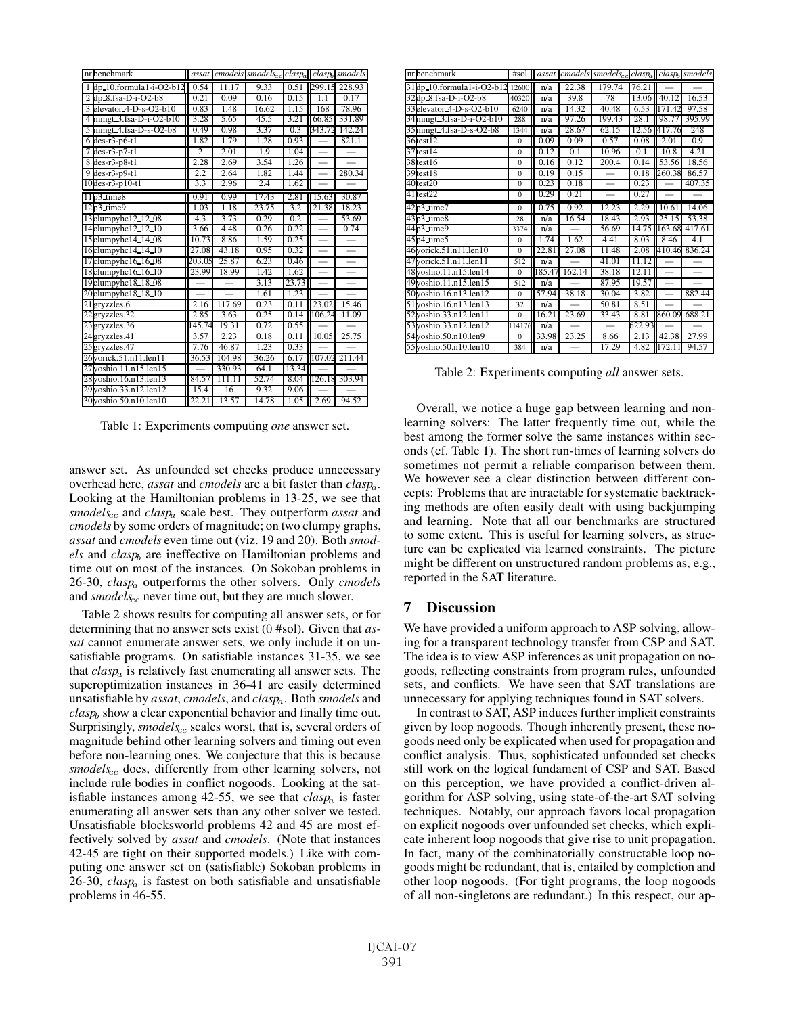| nr benchmark                             | assat          |        | cmodels smodels <sub>cc</sub> claspa |                   |                          | clasp <sub>b</sub> smodels |
|------------------------------------------|----------------|--------|--------------------------------------|-------------------|--------------------------|----------------------------|
| 1 dp. 10.formula1-i-O2-b12               | 0.54           | 11.17  | 9.33                                 | 0.51              |                          | 299.15 228.93              |
| $2$ dp $8$ .fsa- $\overline{D-1}$ -O2-b8 | 0.21           | 0.09   | 0.16                                 | 0.15              | 1.1                      | 0.17                       |
| 3 elevator 4-D-s-O2-b10                  | 0.83           | 1.48   | 16.62                                | 1.15              | 168                      | 78.96                      |
| 4 mmgt 3.fsa-D-i-O2-b10                  | 3.28           | 5.65   | 45.5                                 | $\overline{3.21}$ | 66.85                    | 331.89                     |
| 5 mmgt 4.fsa-D-s-O2-b8                   | 0.49           | 0.98   | 3.37                                 | 0.3               | 343.72                   | 142.24                     |
| $6$ des-r3-p6-t1                         | 1.82           | 1.79   | 1.28                                 | 0.93              |                          | 821.1                      |
| $7$ des-r3-p7-t1                         | $\overline{c}$ | 2.01   | 1.9                                  | 1.04              |                          | $\overline{\phantom{0}}$   |
| 8 des-r3-p8-t1                           | 2.28           | 2.69   | 3.54                                 | 1.26              |                          |                            |
| 9 des- $r3-p9-t1$                        | 2.2            | 2.64   | 1.82                                 | 1.44              |                          | 280.34                     |
| $10$ des-r $3$ -p $10$ -t $1$            | 3.3            | 2.96   | 2.4                                  | 1.62              |                          |                            |
| 11p3 time8                               | 0.91           | 0.99   | 17.43                                | 2.81              | 15.63                    | 30.87                      |
| $12p3$ _time9                            | 1.03           | 1.18   | 23.75                                | 3.2               | 21.38                    | 18.23                      |
| 13 clumpyhc 12 12 08                     | 4.3            | 3.73   | 0.29                                 | $\overline{0.2}$  |                          | 53.69                      |
| 14clumpyhc12_12_10                       | 3.66           | 4.48   | 0.26                                 | 0.22              |                          | 0.74                       |
| 15clumpyhc14_14_08                       | 10.73          | 8.86   | 1.59                                 | 0.25              |                          |                            |
| 16clumpyhc14.14.10                       | 27.08          | 43.18  | 0.95                                 | 0.32              | $\overline{\phantom{0}}$ | $\overline{\phantom{0}}$   |
| 17clumpyhc16.16.08                       | 203.05         | 25.87  | 6.23                                 | 0.46              |                          |                            |
| 18 clumpy hc 16 16 10                    | 23.99          | 18.99  | 1.42                                 | 1.62              |                          |                            |
| 19clumpyhc18 18 08                       |                |        | 3.13                                 | 23.73             |                          |                            |
| 20clumpyhc18.18.10                       |                |        | 1.61                                 | 1.23              |                          |                            |
| 21gryzzles.6                             | 2.16           | 117.69 | 0.23                                 | 0.11              | 23.02                    | 15.46                      |
| 22gryzzles.32                            | 2.85           | 3.63   | 0.25                                 | 0.14              | 106.24                   | 11.09                      |
| 23gryzzles.36                            | 145.74         | 19.31  | 0.72                                 | 0.55              |                          |                            |
| 24gryzzles.41                            | 3.57           | 2.23   | 0.18                                 | $\overline{0.11}$ | 10.05                    | 25.75                      |
| 25gryzzles.47                            | 7.76           | 46.87  | 1.23                                 | 0.33              |                          |                            |
| 26yorick.51.n11.len11                    | 36.53          | 104.98 | 36.26                                | 6.17              | 107.02                   | 211.44                     |
| 27 voshio. 11. n15. len 15               |                | 330.93 | 64.1                                 | 13.34             |                          |                            |
| 28 yoshio.16.n13.len13                   | 84.57          | 111.11 | 52.74                                | 8.04              | 126.18                   | 303.94                     |
| 29 voshio.33.n12.len12                   | 15.4           | 16     | 9.32                                 | 9.06              |                          |                            |
| 30 voshio.50.n10.len10                   | 22.21          | 13.57  | 14.78                                | 1.05              | 2.69                     | 94.52                      |

Table 1: Experiments computing *one* answer set.

answer set. As unfounded set checks produce unnecessary overhead here, *assat* and *cmodels* are a bit faster than *clasp*a. Looking at the Hamiltonian problems in 13-25, we see that *smodels*cc and *clasp*<sup>a</sup> scale best. They outperform *assat* and *cmodels* by some orders of magnitude; on two clumpy graphs, *assat* and *cmodels* even time out (viz. 19 and 20). Both *smodels* and *clasp<sub>b</sub>* are ineffective on Hamiltonian problems and time out on most of the instances. On Sokoban problems in 26-30, *clasp*<sup>a</sup> outperforms the other solvers. Only *cmodels* and *smodels*<sub>cc</sub> never time out, but they are much slower.

Table 2 shows results for computing all answer sets, or for determining that no answer sets exist (0 #sol). Given that *assat* cannot enumerate answer sets, we only include it on unsatisfiable programs. On satisfiable instances 31-35, we see that *clasp*<sup>a</sup> is relatively fast enumerating all answer sets. The superoptimization instances in 36-41 are easily determined unsatisfiable by *assat*, *cmodels*, and *clasp*a. Both *smodels* and *clasp<sub>b</sub>* show a clear exponential behavior and finally time out. Surprisingly, *smodels<sub>cc</sub>* scales worst, that is, several orders of magnitude behind other learning solvers and timing out even before non-learning ones. We conjecture that this is because *smodels<sub>cc</sub>* does, differently from other learning solvers, not include rule bodies in conflict nogoods. Looking at the satisfiable instances among 42-55, we see that *clasp*<sup>a</sup> is faster enumerating all answer sets than any other solver we tested. Unsatisfiable blocksworld problems 42 and 45 are most effectively solved by *assat* and *cmodels*. (Note that instances 42-45 are tight on their supported models.) Like with computing one answer set on (satisfiable) Sokoban problems in 26-30, *clasp*<sup>a</sup> is fastest on both satisfiable and unsatisfiable problems in 46-55.

| nr benchmark                | #sol           | assat  |        | $cmodes$ smodels $_{cc}$ | $clasp_a$ | claspb                   | smodels |
|-----------------------------|----------------|--------|--------|--------------------------|-----------|--------------------------|---------|
| 31dp.10.formula1-i-O2-b12   | 12600          | n/a    | 22.38  | 179.74                   | 76.21     |                          |         |
| 32dp 8.fsa-D-i-O2-b8        | 40320          | n/a    | 39.8   | 78                       | 13.06     | 40.12                    | 16.53   |
| 33 elevator 4-D-s-O2-b10    | 6240           | n/a    | 14.32  | 40.48                    | 6.53      | 171.42                   | 97.58   |
| 34mmgt 3.fsa-D-i-O2-b10     | 288            | n/a    | 97.26  | 199.43                   | 28.1      | 98.77                    | 395.99  |
| 35mmgt 4.fsa-D-s-O2-b8      | 1344           | n/a    | 28.67  | 62.15                    | 12.56     | 417.76                   | 248     |
| 36test12                    | $\mathbf{0}$   | 0.09   | 0.09   | 0.57                     | 0.08      | 2.01                     | 0.9     |
| 37test14                    | $\Omega$       | 0.12   | 0.1    | 10.96                    | 0.1       | 10.8                     | 4.21    |
| 38test16                    | $\overline{0}$ | 0.16   | 0.12   | 200.4                    | 0.14      | 53.56                    | 18.56   |
| 39test18                    | $\overline{0}$ | 0.19   | 0.15   |                          | 0.18      | 260.38                   | 86.57   |
| $40$ test $20$              | $\theta$       | 0.23   | 0.18   | $\overline{\phantom{0}}$ | 0.23      |                          | 407.35  |
| $41$ test $22$              | $\Omega$       | 0.29   | 0.21   |                          | 0.27      |                          |         |
| $42p3$ time7                | $\overline{0}$ | 0.75   | 0.92   | 12.23                    | 2.29      | 10.61                    | 14.06   |
| $43p3$ time $8$             | 28             | n/a    | 16.54  | 18.43                    | 2.93      | 25.15                    | 53.38   |
| 44p3 time9                  | 3374           | n/a    |        | 56.69                    | 14.75     | 163.68                   | 417.61  |
| 45p4 time5                  | $\Omega$       | 1.74   | 1.62   | 4.41                     | 8.03      | 8.46                     | 4.1     |
| 46yorick.51.n11.len10       | $\theta$       | 22.81  | 27.08  | 11.48                    | 2.08      | 410.46                   | 836.24  |
| 47 yorick. 51. n 11. len 11 | 512            | n/a    |        | $\overline{41.01}$       | 11.12     |                          |         |
| 48 yoshio.11.n15.len14      | $\Omega$       | 185.47 | 162.14 | 38.18                    | 12.11     | $\overline{\phantom{0}}$ |         |
| 49 voshio. 11. n15. len 15  | 512            | n/a    |        | 87.95                    | 19.57     | $\overline{\phantom{0}}$ |         |
| 50 yoshio.16.n13.len12      | $\theta$       | 57.94  | 38.18  | 30.04                    | 3.82      |                          | 882.44  |
| 51 yoshio.16.n13.len13      | 32             | n/a    |        | 50.81                    | 8.51      |                          |         |
| 52 yoshio.33.n12.len11      | $\Omega$       | 16.21  | 23.69  | 33.43                    | 8.81      | 860.09                   | 688.21  |
| 53 yoshio.33.n12.len12      | 114176         | n/a    |        |                          | 622.93    |                          |         |
| 54 yoshio. 50. n10. len9    | $\Omega$       | 33.98  | 23.25  | 8.66                     | 2.13      | 42.38                    | 27.99   |
| 55 yoshio.50.n10.len10      | 384            | n/a    |        | 17.29                    | 4.82      | 172.11                   | 94.57   |

Table 2: Experiments computing *all* answer sets.

Overall, we notice a huge gap between learning and nonlearning solvers: The latter frequently time out, while the best among the former solve the same instances within seconds (cf. Table 1). The short run-times of learning solvers do sometimes not permit a reliable comparison between them. We however see a clear distinction between different concepts: Problems that are intractable for systematic backtracking methods are often easily dealt with using backjumping and learning. Note that all our benchmarks are structured to some extent. This is useful for learning solvers, as structure can be explicated via learned constraints. The picture might be different on unstructured random problems as, e.g., reported in the SAT literature.

# 7 Discussion

We have provided a uniform approach to ASP solving, allowing for a transparent technology transfer from CSP and SAT. The idea is to view ASP inferences as unit propagation on nogoods, reflecting constraints from program rules, unfounded sets, and conflicts. We have seen that SAT translations are unnecessary for applying techniques found in SAT solvers.

In contrast to SAT, ASP induces further implicit constraints given by loop nogoods. Though inherently present, these nogoods need only be explicated when used for propagation and conflict analysis. Thus, sophisticated unfounded set checks still work on the logical fundament of CSP and SAT. Based on this perception, we have provided a conflict-driven algorithm for ASP solving, using state-of-the-art SAT solving techniques. Notably, our approach favors local propagation on explicit nogoods over unfounded set checks, which explicate inherent loop nogoods that give rise to unit propagation. In fact, many of the combinatorially constructable loop nogoods might be redundant, that is, entailed by completion and other loop nogoods. (For tight programs, the loop nogoods of all non-singletons are redundant.) In this respect, our ap